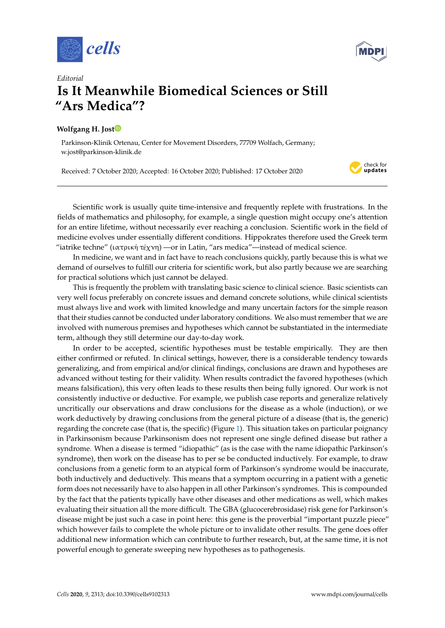



## *Editorial* **Is It Meanwhile Biomedical Sciences or Still** "Ars Medica"? anwhile biomedical Sciences or Still  $\mathbf{u}_1$   $\mathbf{u}_2$  and  $\mathbf{u}_3$  and  $\mathbf{u}_4$  and  $\mathbf{u}_5$  and  $\mathbf{u}_6$  and  $\mathbf{u}_7$  and  $\mathbf{u}_8$  and  $\mathbf{u}_7$  and  $\mathbf{u}_8$  and  $\mathbf{u}_7$  and  $\mathbf{u}_8$  and  $\mathbf{u}_9$  and  $\mathbf{u}_8$  and  $\mathbf{u}_9$  and  $\mathbf{u}_9$  and  $0.91 \text{ m}$   $0.911$ nwhile biomedical Sciences or Still  $\overline{\mathbf{u}}$   $\overline{\mathbf{u}}$

## **Wolfgang H. Jost**  $\text{cost}(\textbf{D})$ αστεί στο προσωπικό του στο προσωπικό του στο προσωπικό του στο προσωπικό του στο προσωπικό του στο προσωπικό<br>Προσωπικό του στο προσωπικό του στο προσωπικό του στο προσωπικό του στο προσωπικό του στο προσωπικό του στο πρ  $\overline{\mathbf{0}}$  of  $\overline{\mathbf{0}}$  and  $\overline{\mathbf{0}}$  and  $\overline{\mathbf{0}}$  and  $\overline{\mathbf{0}}$  and  $\overline{\mathbf{0}}$  and  $\overline{\mathbf{0}}$  and  $\overline{\mathbf{0}}$  and  $\overline{\mathbf{0}}$  and  $\overline{\mathbf{0}}$  and  $\overline{\mathbf{0}}$  and  $\overline{\mathbf{0}}$  and  $\overline{\mathbf{0}}$  and  $\overline{\mathbf{0}}$  an

Parkinson-Klinik Ortenau, Center for Movement Disorders, 77709 Wolfach, Germany; w.jost@parkinson-klinik.de 03A3 Σ \textSigma GREEK CAPITAL LETTER SIGMA 03A0 Π \textPi GREEK CAPITAL LETTER PI Ortenau, Center for Movement Disorders, 77709 Wolfach, Germany; -klinik.de

Received: 7 October 2020; Accepted: 16 October 2020; Published: 17 October 2020 tober 2020; Accepted: 16 October 2020; Published: 17 October 2020



Scientific work is usually quite time-intensive and frequently replete with frustrations. In the fields of mathematics and philosophy, for example, a single question might occupy one's attention for an entire lifetime, without necessarily ever reaching a conclusion. Scientific work in the field of medicine evolves under essentially different conditions. Hippokrates therefore used the Greek term "iatrike techne" (ιατρική τέχνη) —or in Latin, "ars medica"—instead of medical science. 03A9 Ω \textOmega GREEK CAPITAL LETTER OMEGA work is usually quite time-intensive and frequently replete with frustrations. In  $\overline{a}$  $\epsilon$  and  $\epsilon$  and  $\epsilon$  are  $\epsilon$  of  $\epsilon$  all  $\epsilon$  and  $\epsilon$  are  $\epsilon$  and  $\epsilon$  are  $\epsilon$  and  $\epsilon$  are  $\epsilon$  and  $\epsilon$  are  $\epsilon$  and  $\epsilon$  are  $\epsilon$  and  $\epsilon$  are  $\epsilon$  and  $\epsilon$  are  $\epsilon$  and  $\epsilon$  are  $\epsilon$  and  $\epsilon$  and  $\epsilon$  and  $\epsilon$  a  $\begin{array}{cc} \textbf{1} & \textbf{1} & \textbf{1} & \textbf{1} & \textbf{1} & \textbf{1} & \textbf{1} & \textbf{1} & \textbf{1} & \textbf{1} & \textbf{1} & \textbf{1} & \textbf{1} & \textbf{1} & \textbf{1} & \textbf{1} & \textbf{1} & \textbf{1} & \textbf{1} & \textbf{1} & \textbf{1} & \textbf{1} & \textbf{1} & \textbf{1} & \textbf{1} & \textbf{1} & \textbf{1} & \textbf{1} & \textbf{1} & \textbf{1} & \textbf$  $\min$ , without necessarify ever reaching a conclusion. Scientific work in the field of

 $\overline{\phantom{a}}$   $\overline{\phantom{a}}$   $\overline{\phantom{a}}$   $\overline{\phantom{a}}$   $\overline{\phantom{a}}$   $\overline{\phantom{a}}$   $\overline{\phantom{a}}$   $\overline{\phantom{a}}$   $\overline{\phantom{a}}$   $\overline{\phantom{a}}$   $\overline{\phantom{a}}$   $\overline{\phantom{a}}$   $\overline{\phantom{a}}$   $\overline{\phantom{a}}$   $\overline{\phantom{a}}$   $\overline{\phantom{a}}$   $\overline{\phantom{a}}$   $\overline{\phantom{a}}$   $\overline{\$ 

 $\overline{\phantom{a}}$  and  $\overline{\phantom{a}}$  and  $\overline{\phantom{a}}$  and  $\overline{\phantom{a}}$  and  $\overline{\phantom{a}}$  and  $\overline{\phantom{a}}$  and  $\overline{\phantom{a}}$  and  $\overline{\phantom{a}}$  and  $\overline{\phantom{a}}$  and  $\overline{\phantom{a}}$  and  $\overline{\phantom{a}}$  and  $\overline{\phantom{a}}$  and  $\overline{\phantom{a}}$  and  $\overline{\phantom{a}}$  a

In medicine, we want and in fact have to reach conclusions quickly, partly because this is what we  $\frac{1}{\sqrt{2}}$ 301 το 101 million chicha for scientific work, but also partly because we al for practical solutions which just cannot be delayed. demand of ourselves to fulfill our criteria for scientific work, but also partly because we are searching

Patiens Which year cannot be actay can<br>quently the problem with translating basic science to clinical science. Basic scientist very well focus preferably on concrete issues and demand concrete solutions, while clinical scientists must always live and work with limited knowledge and many uncertain factors for the simple reason 03 Break State Greek State Hills Correct Hills Correct Hills Correct Hills Correct Hills Correct Hills Correct Hills Correct Hills Correct Hills Correct Hills Correct Hills Correct Hills Correct Hills Correct Hills Correc that their studies cannot be conducted under laboratory conditions. We also must remember that we are involved with numerous premises and hypotheses which cannot be substantiated in the intermediate  $term$ , although they still determine our day-to-day work. This is frequently the problem with translating basic science to clinical science. Basic scientists can

 $\frac{1}{2}$  be accepted scientific hypotheses must be testable empirically. They are  $\frac{1}{\sqrt{2}}$ either confirmed or refuted. In clinical settings, however, there is a considerable tendency towards generalizing, and from empirical and/or clinical findings, conclusions are drawn and hypotheses are advanced without testing for their validity. When results contradict the favored hypotheses (which  $\frac{1}{2}$  $\frac{1}{2}$ ductive or deductive. For example, we publish case reports and general uncritically our observations and draw conclusions for the disease as a whole (induction), or we  $\cdot$  conclusion work deductively by drawing conclusions from the general picture of a disease (that is, the generic)  $\sum_{n=1}^{\infty}$ regarding the concrete case (that is, the specific) (Figure [1\)](#page-1-0). This situation takes on particular poignancy in Parkinsonism because Parkinsonism does not represent one single defined disease but rather a n because I uningendent about the represent one engine achieva albeade bat rad<br>en a disease is termed "idiopathic" (as is the case with the name idiopathic Parkin syndrome), then work on the disease has to per se be conducted inductively. For example, to draw form does not necessarily have to also happen in all other Parkinson's syndromes. This is compounded In order to be accepted, scientific hypotheses must be testable empirically. They are then means falsification), this very often leads to these results then being fully ignored. Our work is not 03BE ξ \textxi GREEK SMALL LETTER XI consistently inductive or deductive. For example, we publish case reports and generalize relatively syndrome. When a disease is termed "idiopathic" (as is the case with the name idiopathic Parkinson's conclusions from a genetic form to an atypical form of Parkinson's syndrome would be inaccurate, both inductively and deductively. This means that a symptom occurring in a patient with a genetic 18 evaluating their situation all the more difficult. The GBA (glucocerebrosidase) risk gene for Parkinson's by the fact that the patients typically have other diseases and other medications as well, which makes disease might be just such a case in point here: this gene is the proverbial "important puzzle piece" which however fails to complete the whole picture or to invalidate other results. The gene does offer additional new information which can contribute to further research, but, at the same time, it is not powerful enough to generate sweeping new hypotheses as to pathogenesis.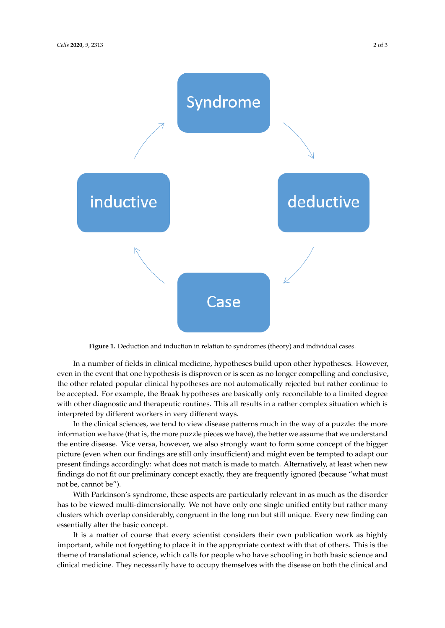<span id="page-1-0"></span>

**Figure 1.** Deduction and induction in relation to syndromes (theory) and individual cases.

even in the event that one hypothesis is disproven or is seen as no longer compelling and conclusive, the other related popular clinical hypotheses are not automatically rejected but rather continue to be accepted. For example, the Braak hypotheses are basically only reconcilable to a limited degree with other diagnostic and therapeutic routines. This all results in a rather complex situation which is interpreted by different workers in very different ways. In a number of fields in clinical medicine, hypotheses build upon other hypotheses. However,

In the clinical sciences, we tend to view disease patterns much in the way of a puzzle: the more information we have (that is, the more puzzle pieces we have), the better we assume that we understand the entire disease. Vice versa, however, we also strongly want to form some concept of the bigger picture (even when our findings are still only insufficient) and might even be tempted to adapt our present findings accordingly: what does not match is made to match. Alternatively, at least when new findings do not fit our preliminary concept exactly, they are frequently ignored (because "what must not be, cannot be").

With Parkinson's syndrome, these aspects are particularly relevant in as much as the disorder has to be viewed multi-dimensionally. We not have only one single unified entity but rather many clusters which overlap considerably, congruent in the long run but still unique. Every new finding can essentially alter the basic concept.

It is a matter of course that every scientist considers their own publication work as highly important, while not forgetting to place it in the appropriate context with that of others. This is the theme of translational science, which calls for people who have schooling in both basic science and clinical medicine. They necessarily have to occupy themselves with the disease on both the clinical and